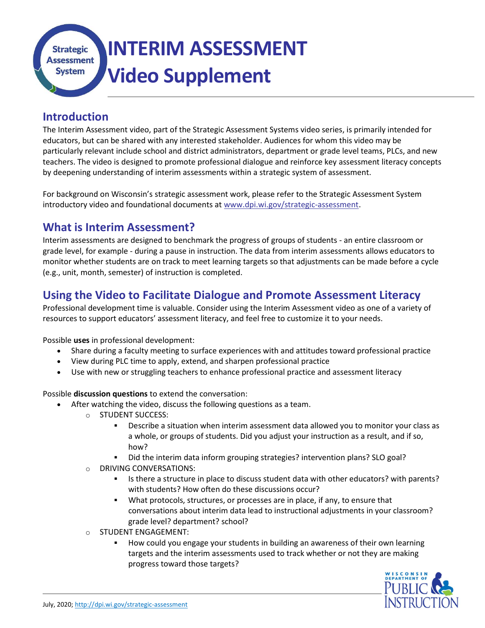INTERIM ASSESSMENT **Strategic Assessment** Video Supplement **System** 

#### Introduction

The Interim Assessment video, part of the Strategic Assessment Systems video series, is primarily intended for educators, but can be shared with any interested stakeholder. Audiences for whom this video may be particularly relevant include school and district administrators, department or grade level teams, PLCs, and new teachers. The video is designed to promote professional dialogue and reinforce key assessment literacy concepts by deepening understanding of interim assessments within a strategic system of assessment.

For background on Wisconsin's strategic assessment work, please refer to the Strategic Assessment System introductory video and foundational documents at www.dpi.wi.gov/strategic-assessment.

#### What is Interim Assessment?

Interim assessments are designed to benchmark the progress of groups of students - an entire classroom or grade level, for example - during a pause in instruction. The data from interim assessments allows educators to monitor whether students are on track to meet learning targets so that adjustments can be made before a cycle (e.g., unit, month, semester) of instruction is completed.

## Using the Video to Facilitate Dialogue and Promote Assessment Literacy

Professional development time is valuable. Consider using the Interim Assessment video as one of a variety of resources to support educators' assessment literacy, and feel free to customize it to your needs.

Possible uses in professional development:

- Share during a faculty meeting to surface experiences with and attitudes toward professional practice
- View during PLC time to apply, extend, and sharpen professional practice
- Use with new or struggling teachers to enhance professional practice and assessment literacy

Possible discussion questions to extend the conversation:

- After watching the video, discuss the following questions as a team.
	- o STUDENT SUCCESS:
		- Describe a situation when interim assessment data allowed you to monitor your class as a whole, or groups of students. Did you adjust your instruction as a result, and if so, how?
		- Did the interim data inform grouping strategies? intervention plans? SLO goal?
	- o DRIVING CONVERSATIONS:
		- Is there a structure in place to discuss student data with other educators? with parents? with students? How often do these discussions occur?
		- What protocols, structures, or processes are in place, if any, to ensure that conversations about interim data lead to instructional adjustments in your classroom? grade level? department? school?
	- o STUDENT ENGAGEMENT:
		- How could you engage your students in building an awareness of their own learning targets and the interim assessments used to track whether or not they are making progress toward those targets?

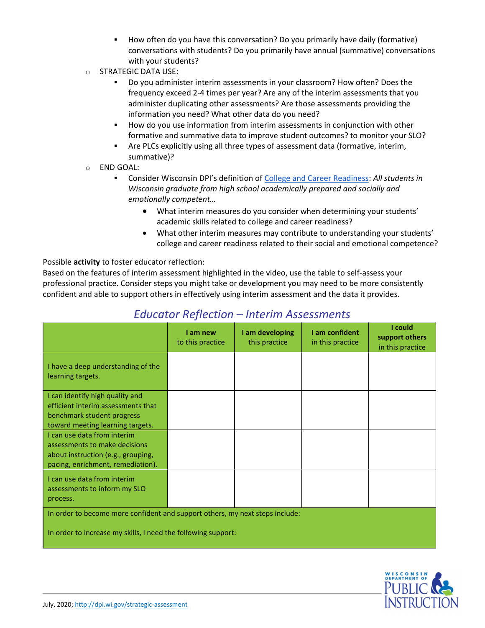- How often do you have this conversation? Do you primarily have daily (formative) conversations with students? Do you primarily have annual (summative) conversations with your students?
- o STRATEGIC DATA USE:
	- Do you administer interim assessments in your classroom? How often? Does the frequency exceed 2-4 times per year? Are any of the interim assessments that you administer duplicating other assessments? Are those assessments providing the information you need? What other data do you need?
	- How do you use information from interim assessments in conjunction with other formative and summative data to improve student outcomes? to monitor your SLO?
	- Are PLCs explicitly using all three types of assessment data (formative, interim, summative)?
- o END GOAL:
	- **EXECONSIDER WISCONSIN DPI's definition of College and Career Readiness: All students in** Wisconsin graduate from high school academically prepared and socially and emotionally competent…
		- What interim measures do you consider when determining your students' academic skills related to college and career readiness?
		- What other interim measures may contribute to understanding your students' college and career readiness related to their social and emotional competence?

Possible activity to foster educator reflection:

Based on the features of interim assessment highlighted in the video, use the table to self-assess your professional practice. Consider steps you might take or development you may need to be more consistently confident and able to support others in effectively using interim assessment and the data it provides.

|                                                                              | I am new<br>to this practice | I am developing<br>this practice | I am confident<br>in this practice | I could<br>support others<br>in this practice |
|------------------------------------------------------------------------------|------------------------------|----------------------------------|------------------------------------|-----------------------------------------------|
| I have a deep understanding of the<br>learning targets.                      |                              |                                  |                                    |                                               |
| I can identify high quality and                                              |                              |                                  |                                    |                                               |
| efficient interim assessments that                                           |                              |                                  |                                    |                                               |
| benchmark student progress                                                   |                              |                                  |                                    |                                               |
| toward meeting learning targets.                                             |                              |                                  |                                    |                                               |
| I can use data from interim                                                  |                              |                                  |                                    |                                               |
| assessments to make decisions                                                |                              |                                  |                                    |                                               |
| about instruction (e.g., grouping,                                           |                              |                                  |                                    |                                               |
| pacing, enrichment, remediation).                                            |                              |                                  |                                    |                                               |
| I can use data from interim<br>assessments to inform my SLO<br>process.      |                              |                                  |                                    |                                               |
| In order to become more confident and support others, my next steps include: |                              |                                  |                                    |                                               |
| In order to increase my skills, I need the following support:                |                              |                                  |                                    |                                               |

# Educator Reflection – Interim Assessments